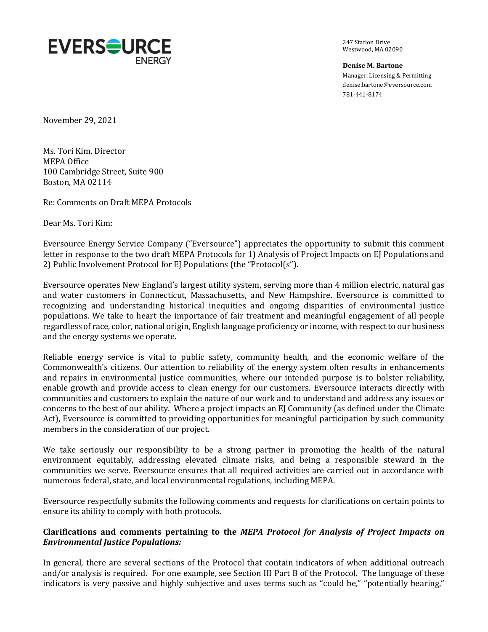

247 Station Drive Westwood, MA 02090

**Denise M. Bartone** Manager, Licensing & Permitting denise.bartone@eversource.com 781-441-8174

November 29, 2021

Ms. Tori Kim, Director MEPA Office 100 Cambridge Street, Suite 900 Boston, MA 02114

Re: Comments on Draft MEPA Protocols

Dear Ms. Tori Kim:

Eversource Energy Service Company ("Eversource") appreciates the opportunity to submit this comment letter in response to the two draft MEPA Protocols for 1) Analysis of Project Impacts on EJ Populations and 2) Public Involvement Protocol for EJ Populations (the "Protocol(s").

Eversource operates New England's largest utility system, serving more than 4 million electric, natural gas and water customers in Connecticut, Massachusetts, and New Hampshire. Eversource is committed to recognizing and understanding historical inequities and ongoing disparities of environmental justice populations. We take to heart the importance of fair treatment and meaningful engagement of all people regardless of race, color, national origin, English language proficiency or income, with respect to our business and the energy systems we operate.

Reliable energy service is vital to public safety, community health, and the economic welfare of the Commonwealth's citizens. Our attention to reliability of the energy system often results in enhancements and repairs in environmental justice communities, where our intended purpose is to bolster reliability, enable growth and provide access to clean energy for our customers. Eversource interacts directly with communities and customers to explain the nature of our work and to understand and address any issues or concerns to the best of our ability. Where a project impacts an EJ Community (as defined under the Climate Act), Eversource is committed to providing opportunities for meaningful participation by such community members in the consideration of our project.

We take seriously our responsibility to be a strong partner in promoting the health of the natural environment equitably, addressing elevated climate risks, and being a responsible steward in the communities we serve. Eversource ensures that all required activities are carried out in accordance with numerous federal, state, and local environmental regulations, including MEPA.

Eversource respectfully submits the following comments and requests for clarifications on certain points to ensure its ability to comply with both protocols.

# **Clarifications and comments pertaining to the** *MEPA Protocol for Analysis of Project Impacts on Environmental Justice Populations:*

In general, there are several sections of the Protocol that contain indicators of when additional outreach and/or analysis is required. For one example, see Section III Part B of the Protocol. The language of these indicators is very passive and highly subjective and uses terms such as "could be," "potentially bearing,"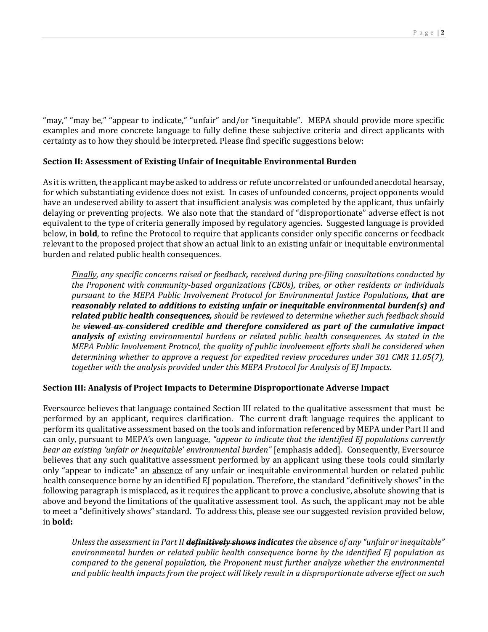"may," "may be," "appear to indicate," "unfair" and/or "inequitable". MEPA should provide more specific examples and more concrete language to fully define these subjective criteria and direct applicants with certainty as to how they should be interpreted. Please find specific suggestions below:

## **Section II: Assessment of Existing Unfair of Inequitable Environmental Burden**

As it is written, the applicant maybe asked to address or refute uncorrelated or unfounded anecdotal hearsay, for which substantiating evidence does not exist. In cases of unfounded concerns, project opponents would have an undeserved ability to assert that insufficient analysis was completed by the applicant, thus unfairly delaying or preventing projects. We also note that the standard of "disproportionate" adverse effect is not equivalent to the type of criteria generally imposed by regulatory agencies. Suggested language is provided below, in **bold**, to refine the Protocol to require that applicants consider only specific concerns or feedback relevant to the proposed project that show an actual link to an existing unfair or inequitable environmental burden and related public health consequences.

*Finally, any specific concerns raised or feedback, received during pre-filing consultations conducted by the Proponent with community-based organizations (CBOs), tribes, or other residents or individuals pursuant to the MEPA Public Involvement Protocol for Environmental Justice Populations, that are reasonably related to additions to existing unfair or inequitable environmental burden(s) and related public health consequences, should be reviewed to determine whether such feedback should be viewed as considered credible and therefore considered as part of the cumulative impact analysis of existing environmental burdens or related public health consequences. As stated in the MEPA Public Involvement Protocol, the quality of public involvement efforts shall be considered when determining whether to approve a request for expedited review procedures under 301 CMR 11.05(7), together with the analysis provided under this MEPA Protocol for Analysis of EJ Impacts.*

## **Section III: Analysis of Project Impacts to Determine Disproportionate Adverse Impact**

Eversource believes that language contained Section III related to the qualitative assessment that must be performed by an applicant, requires clarification. The current draft language requires the applicant to perform its qualitative assessment based on the tools and information referenced by MEPA under Part II and can only, pursuant to MEPA's own language, *"appear to indicate that the identified EJ populations currently bear an existing 'unfair or inequitable' environmental burden"* [emphasis added]. Consequently, Eversource believes that any such qualitative assessment performed by an applicant using these tools could similarly only "appear to indicate" an absence of any unfair or inequitable environmental burden or related public health consequence borne by an identified EJ population. Therefore, the standard "definitively shows" in the following paragraph is misplaced, as it requires the applicant to prove a conclusive, absolute showing that is above and beyond the limitations of the qualitative assessment tool. As such, the applicant may not be able to meet a "definitively shows" standard. To address this, please see our suggested revision provided below, in **bold:**

*Unless the assessment in Part II definitively shows indicates the absence of any "unfair or inequitable" environmental burden or related public health consequence borne by the identified EJ population as compared to the general population, the Proponent must further analyze whether the environmental and public health impacts from the project will likely result in a disproportionate adverse effect on such*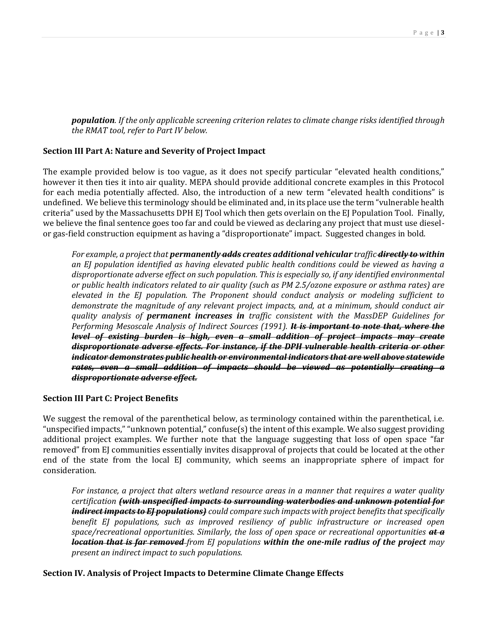*population. If the only applicable screening criterion relates to climate change risks identified through the RMAT tool, refer to Part IV below.*

#### **Section III Part A: Nature and Severity of Project Impact**

The example provided below is too vague, as it does not specify particular "elevated health conditions," however it then ties it into air quality. MEPA should provide additional concrete examples in this Protocol for each media potentially affected. Also, the introduction of a new term "elevated health conditions" is undefined. We believe this terminology should be eliminated and, in its place use the term "vulnerable health criteria" used by the Massachusetts DPH EJ Tool which then gets overlain on the EJ Population Tool. Finally, we believe the final sentence goes too far and could be viewed as declaring any project that must use dieselor gas-field construction equipment as having a "disproportionate" impact. Suggested changes in bold.

*For example, a project that permanently adds creates additional vehicular traffic directly to within an EJ population identified as having elevated public health conditions could be viewed as having a disproportionate adverse effect on such population. This is especially so, if any identified environmental or public health indicators related to air quality (such as PM 2.5/ozone exposure or asthma rates) are elevated in the EJ population. The Proponent should conduct analysis or modeling sufficient to demonstrate the magnitude of any relevant project impacts, and, at a minimum, should conduct air quality analysis of permanent increases in traffic consistent with the MassDEP Guidelines for Performing Mesoscale Analysis of Indirect Sources (1991). It is important to note that, where the level of existing burden is high, even a small addition of project impacts may create disproportionate adverse effects. For instance, if the DPH vulnerable health criteria or other indicator demonstrates public health or environmental indicators that are well above statewide rates, even a small addition of impacts should be viewed as potentially creating a disproportionate adverse effect.*

#### **Section III Part C: Project Benefits**

We suggest the removal of the parenthetical below, as terminology contained within the parenthetical, i.e. "unspecified impacts," "unknown potential," confuse(s) the intent of this example. We also suggest providing additional project examples. We further note that the language suggesting that loss of open space "far removed" from EJ communities essentially invites disapproval of projects that could be located at the other end of the state from the local EJ community, which seems an inappropriate sphere of impact for consideration.

*For instance, a project that alters wetland resource areas in a manner that requires a water quality certification (with unspecified impacts to surrounding waterbodies and unknown potential for indirect impacts to EJ populations) could compare such impacts with project benefits that specifically benefit EJ populations, such as improved resiliency of public infrastructure or increased open space/recreational opportunities. Similarly, the loss of open space or recreational opportunities at a location that is far removed from EJ populations within the one-mile radius of the project may present an indirect impact to such populations.*

#### **Section IV. Analysis of Project Impacts to Determine Climate Change Effects**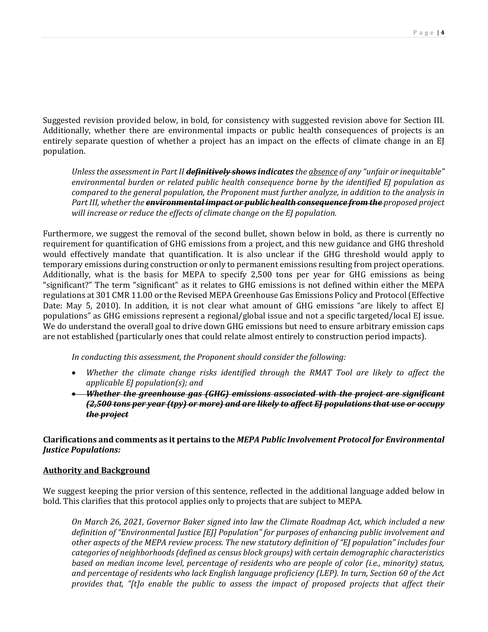Suggested revision provided below, in bold, for consistency with suggested revision above for Section III. Additionally, whether there are environmental impacts or public health consequences of projects is an entirely separate question of whether a project has an impact on the effects of climate change in an EJ population.

*Unless the assessment in Part II definitively shows indicates the absence of any "unfair or inequitable" environmental burden or related public health consequence borne by the identified EJ population as compared to the general population, the Proponent must further analyze, in addition to the analysis in Part III, whether the environmental impact or public health consequence from the proposed project will increase or reduce the effects of climate change on the EJ population.*

Furthermore, we suggest the removal of the second bullet, shown below in bold, as there is currently no requirement for quantification of GHG emissions from a project, and this new guidance and GHG threshold would effectively mandate that quantification. It is also unclear if the GHG threshold would apply to temporary emissions during construction or only to permanent emissions resulting from project operations. Additionally, what is the basis for MEPA to specify 2,500 tons per year for GHG emissions as being "significant?" The term "significant" as it relates to GHG emissions is not defined within either the MEPA regulations at 301 CMR 11.00 or the Revised MEPA Greenhouse Gas Emissions Policy and Protocol (Effective Date: May 5, 2010). In addition, it is not clear what amount of GHG emissions "are likely to affect EJ populations" as GHG emissions represent a regional/global issue and not a specific targeted/local EJ issue. We do understand the overall goal to drive down GHG emissions but need to ensure arbitrary emission caps are not established (particularly ones that could relate almost entirely to construction period impacts).

*In conducting this assessment, the Proponent should consider the following:*

- *Whether the climate change risks identified through the RMAT Tool are likely to affect the applicable EJ population(s); and*
- *Whether the greenhouse gas (GHG) emissions associated with the project are significant (2,500 tons per year (tpy) or more) and are likely to affect EJ populations that use or occupy the project*

**Clarifications and comments as it pertains to the** *MEPA Public Involvement Protocol for Environmental Justice Populations:*

## **Authority and Background**

We suggest keeping the prior version of this sentence, reflected in the additional language added below in bold. This clarifies that this protocol applies only to projects that are subject to MEPA.

*On March 26, 2021, Governor Baker signed into law the Climate Roadmap Act, which included a new definition of "Environmental Justice [EJ] Population" for purposes of enhancing public involvement and other aspects of the MEPA review process. The new statutory definition of "EJ population" includes four categories of neighborhoods (defined as census block groups) with certain demographic characteristics based on median income level, percentage of residents who are people of color (i.e., minority) status, and percentage of residents who lack English language proficiency (LEP). In turn, Section 60 of the Act provides that, "[t]o enable the public to assess the impact of proposed projects that affect their*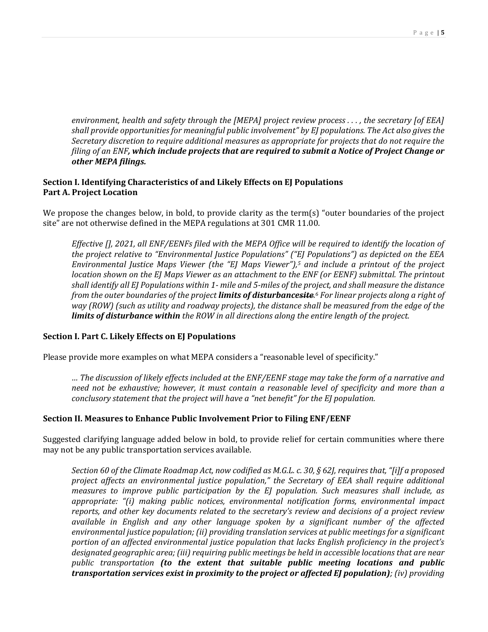*environment, health and safety through the [MEPA] project review process . . . , the secretary [of EEA] shall provide opportunities for meaningful public involvement" by EJ populations. The Act also gives the Secretary discretion to require additional measures as appropriate for projects that do not require the filing of an ENF, which include projects that are required to submit a Notice of Project Change or other MEPA filings.*

# **Section I. Identifying Characteristics of and Likely Effects on EJ Populations Part A. Project Location**

We propose the changes below, in bold, to provide clarity as the term(s) "outer boundaries of the project site" are not otherwise defined in the MEPA regulations at 301 CMR 11.00.

*Effective [], 2021, all ENF/EENFs filed with the MEPA Office will be required to identify the location of the project relative to "Environmental Justice Populations" ("EJ Populations") as depicted on the EEA Environmental Justice Maps Viewer (the "EJ Maps Viewer"),<sup>5</sup> and include a printout of the project location shown on the EJ Maps Viewer as an attachment to the ENF (or EENF) submittal. The printout shall identify all EJ Populations within 1- mile and 5-miles of the project, and shall measure the distance from the outer boundaries of the project limits of disturbancesite. <sup>6</sup> For linear projects along a right of way (ROW) (such as utility and roadway projects), the distance shall be measured from the edge of the limits of disturbance within the ROW in all directions along the entire length of the project.*

## **Section I. Part C. Likely Effects on EJ Populations**

Please provide more examples on what MEPA considers a "reasonable level of specificity."

*… The discussion of likely effects included at the ENF/EENF stage may take the form of a narrative and need not be exhaustive; however, it must contain a reasonable level of specificity and more than a conclusory statement that the project will have a "net benefit" for the EJ population.*

## **Section II. Measures to Enhance Public Involvement Prior to Filing ENF/EENF**

Suggested clarifying language added below in bold, to provide relief for certain communities where there may not be any public transportation services available.

*Section 60 of the Climate Roadmap Act, now codified as M.G.L. c. 30, § 62J, requires that, "[i]f a proposed project affects an environmental justice population," the Secretary of EEA shall require additional measures to improve public participation by the EJ population. Such measures shall include, as appropriate: "(i) making public notices, environmental notification forms, environmental impact reports, and other key documents related to the secretary's review and decisions of a project review available in English and any other language spoken by a significant number of the affected environmental justice population; (ii) providing translation services at public meetings for a significant portion of an affected environmental justice population that lacks English proficiency in the project's designated geographic area; (iii) requiring public meetings be held in accessible locations that are near public transportation (to the extent that suitable public meeting locations and public transportation services exist in proximity to the project or affected EJ population); (iv) providing*